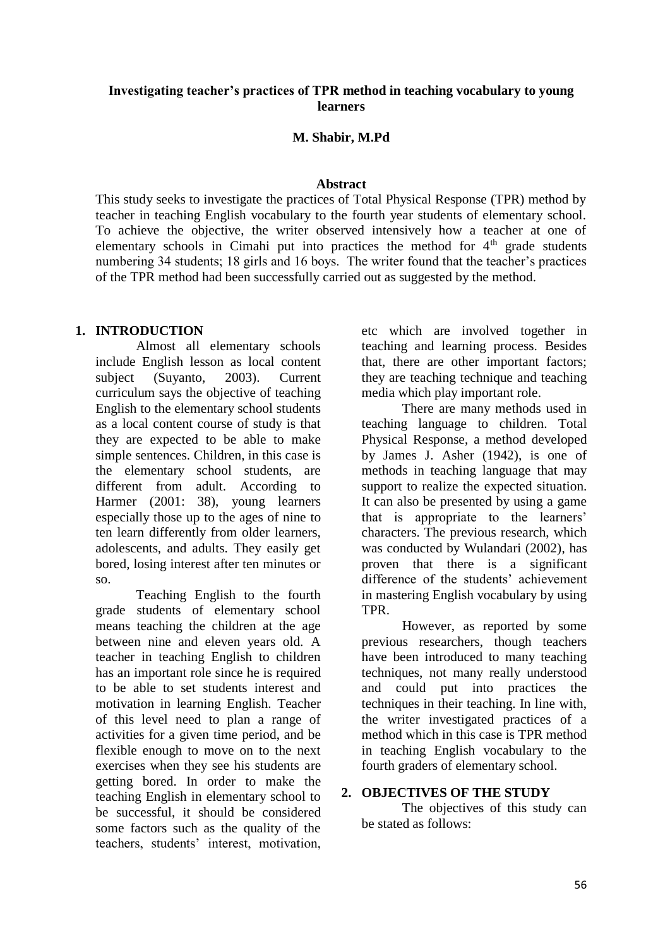#### **Investigating teacher's practices of TPR method in teaching vocabulary to young learners**

#### **M. Shabir, M.Pd**

#### **Abstract**

This study seeks to investigate the practices of Total Physical Response (TPR) method by teacher in teaching English vocabulary to the fourth year students of elementary school. To achieve the objective, the writer observed intensively how a teacher at one of elementary schools in Cimahi put into practices the method for  $4<sup>th</sup>$  grade students numbering 34 students; 18 girls and 16 boys. The writer found that the teacher's practices of the TPR method had been successfully carried out as suggested by the method.

#### **1. INTRODUCTION**

Almost all elementary schools include English lesson as local content subject (Suyanto, 2003). Current curriculum says the objective of teaching English to the elementary school students as a local content course of study is that they are expected to be able to make simple sentences. Children, in this case is the elementary school students, are different from adult. According to Harmer (2001: 38), young learners especially those up to the ages of nine to ten learn differently from older learners, adolescents, and adults. They easily get bored, losing interest after ten minutes or so.

Teaching English to the fourth grade students of elementary school means teaching the children at the age between nine and eleven years old. A teacher in teaching English to children has an important role since he is required to be able to set students interest and motivation in learning English. Teacher of this level need to plan a range of activities for a given time period, and be flexible enough to move on to the next exercises when they see his students are getting bored. In order to make the teaching English in elementary school to be successful, it should be considered some factors such as the quality of the teachers, students' interest, motivation,

etc which are involved together in teaching and learning process. Besides that, there are other important factors; they are teaching technique and teaching media which play important role.

There are many methods used in teaching language to children. Total Physical Response, a method developed by James J. Asher (1942), is one of methods in teaching language that may support to realize the expected situation. It can also be presented by using a game that is appropriate to the learners' characters. The previous research, which was conducted by Wulandari (2002), has proven that there is a significant difference of the students' achievement in mastering English vocabulary by using TPR.

However, as reported by some previous researchers, though teachers have been introduced to many teaching techniques, not many really understood and could put into practices the techniques in their teaching. In line with, the writer investigated practices of a method which in this case is TPR method in teaching English vocabulary to the fourth graders of elementary school.

#### **2. OBJECTIVES OF THE STUDY**

The objectives of this study can be stated as follows: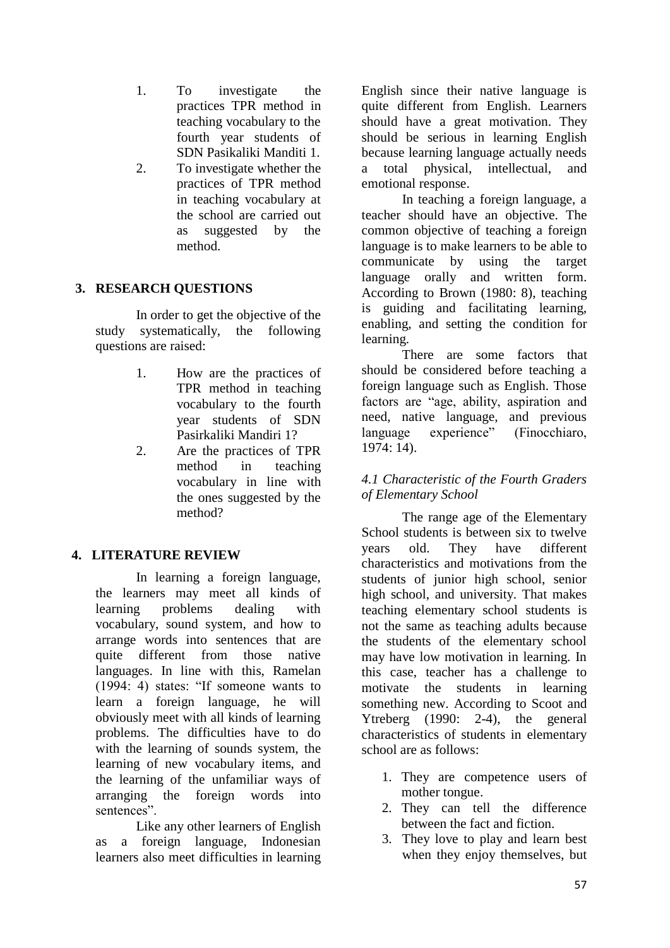- 1. To investigate the practices TPR method in teaching vocabulary to the fourth year students of SDN Pasikaliki Manditi 1.
- 2. To investigate whether the practices of TPR method in teaching vocabulary at the school are carried out as suggested by the method.

# **3. RESEARCH QUESTIONS**

In order to get the objective of the study systematically, the following questions are raised:

- 1. How are the practices of TPR method in teaching vocabulary to the fourth year students of SDN Pasirkaliki Mandiri 1?
- 2. Are the practices of TPR method in teaching vocabulary in line with the ones suggested by the method?

### **4. LITERATURE REVIEW**

In learning a foreign language, the learners may meet all kinds of learning problems dealing with vocabulary, sound system, and how to arrange words into sentences that are quite different from those native languages. In line with this, Ramelan (1994: 4) states: "If someone wants to learn a foreign language, he will obviously meet with all kinds of learning problems. The difficulties have to do with the learning of sounds system, the learning of new vocabulary items, and the learning of the unfamiliar ways of arranging the foreign words into sentences".

Like any other learners of English as a foreign language, Indonesian learners also meet difficulties in learning English since their native language is quite different from English. Learners should have a great motivation. They should be serious in learning English because learning language actually needs a total physical, intellectual, and emotional response.

In teaching a foreign language, a teacher should have an objective. The common objective of teaching a foreign language is to make learners to be able to communicate by using the target language orally and written form. According to Brown (1980: 8), teaching is guiding and facilitating learning, enabling, and setting the condition for learning.

There are some factors that should be considered before teaching a foreign language such as English. Those factors are "age, ability, aspiration and need, native language, and previous language experience" (Finocchiaro, 1974: 14).

## *4.1 Characteristic of the Fourth Graders of Elementary School*

The range age of the Elementary School students is between six to twelve years old. They have different characteristics and motivations from the students of junior high school, senior high school, and university. That makes teaching elementary school students is not the same as teaching adults because the students of the elementary school may have low motivation in learning. In this case, teacher has a challenge to motivate the students in learning something new. According to Scoot and Ytreberg (1990: 2-4), the general characteristics of students in elementary school are as follows:

- 1. They are competence users of mother tongue.
- 2. They can tell the difference between the fact and fiction.
- 3. They love to play and learn best when they enjoy themselves, but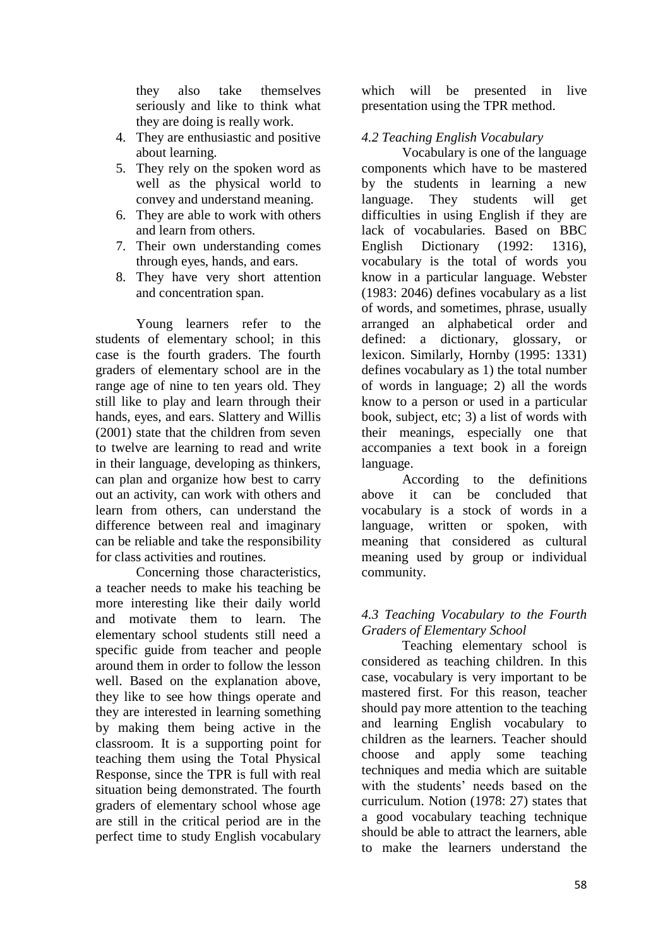they also take themselves seriously and like to think what they are doing is really work.

- 4. They are enthusiastic and positive about learning.
- 5. They rely on the spoken word as well as the physical world to convey and understand meaning.
- 6. They are able to work with others and learn from others.
- 7. Their own understanding comes through eyes, hands, and ears.
- 8. They have very short attention and concentration span.

Young learners refer to the students of elementary school; in this case is the fourth graders. The fourth graders of elementary school are in the range age of nine to ten years old. They still like to play and learn through their hands, eyes, and ears. Slattery and Willis (2001) state that the children from seven to twelve are learning to read and write in their language, developing as thinkers, can plan and organize how best to carry out an activity, can work with others and learn from others, can understand the difference between real and imaginary can be reliable and take the responsibility for class activities and routines.

Concerning those characteristics, a teacher needs to make his teaching be more interesting like their daily world and motivate them to learn. The elementary school students still need a specific guide from teacher and people around them in order to follow the lesson well. Based on the explanation above, they like to see how things operate and they are interested in learning something by making them being active in the classroom. It is a supporting point for teaching them using the Total Physical Response, since the TPR is full with real situation being demonstrated. The fourth graders of elementary school whose age are still in the critical period are in the perfect time to study English vocabulary

which will be presented in live presentation using the TPR method.

# *4.2 Teaching English Vocabulary*

Vocabulary is one of the language components which have to be mastered by the students in learning a new language. They students will get difficulties in using English if they are lack of vocabularies. Based on BBC English Dictionary (1992: 1316), vocabulary is the total of words you know in a particular language. Webster (1983: 2046) defines vocabulary as a list of words, and sometimes, phrase, usually arranged an alphabetical order and defined: a dictionary, glossary, or lexicon. Similarly, Hornby (1995: 1331) defines vocabulary as 1) the total number of words in language; 2) all the words know to a person or used in a particular book, subject, etc; 3) a list of words with their meanings, especially one that accompanies a text book in a foreign language.

According to the definitions above it can be concluded that vocabulary is a stock of words in a language, written or spoken, with meaning that considered as cultural meaning used by group or individual community.

## *4.3 Teaching Vocabulary to the Fourth Graders of Elementary School*

Teaching elementary school is considered as teaching children. In this case, vocabulary is very important to be mastered first. For this reason, teacher should pay more attention to the teaching and learning English vocabulary to children as the learners. Teacher should choose and apply some teaching techniques and media which are suitable with the students' needs based on the curriculum. Notion (1978: 27) states that a good vocabulary teaching technique should be able to attract the learners, able to make the learners understand the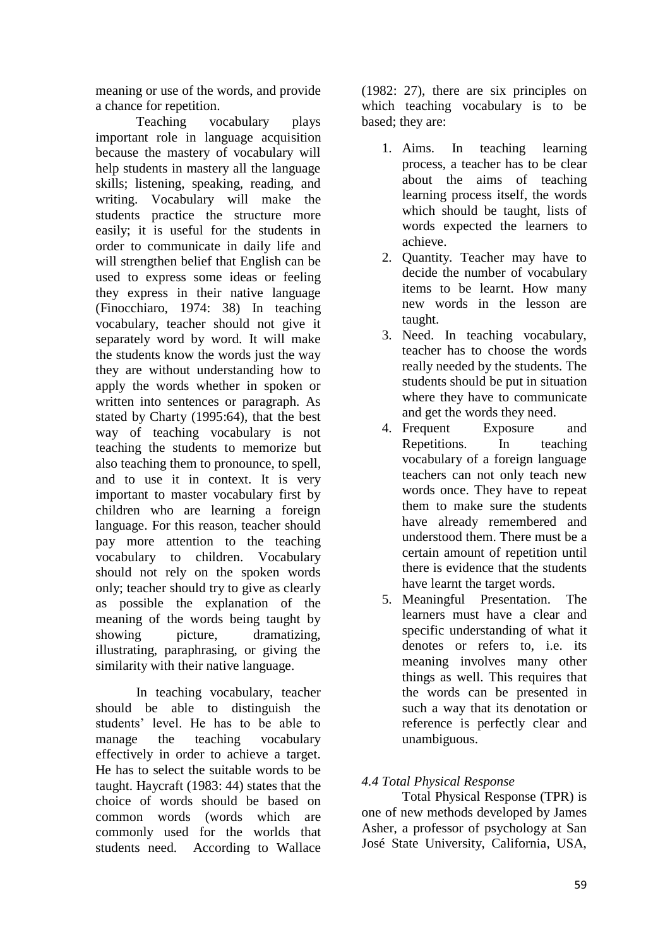meaning or use of the words, and provide a chance for repetition.

Teaching vocabulary plays important role in language acquisition because the mastery of vocabulary will help students in mastery all the language skills; listening, speaking, reading, and writing. Vocabulary will make the students practice the structure more easily; it is useful for the students in order to communicate in daily life and will strengthen belief that English can be used to express some ideas or feeling they express in their native language (Finocchiaro, 1974: 38) In teaching vocabulary, teacher should not give it separately word by word. It will make the students know the words just the way they are without understanding how to apply the words whether in spoken or written into sentences or paragraph. As stated by Charty (1995:64), that the best way of teaching vocabulary is not teaching the students to memorize but also teaching them to pronounce, to spell, and to use it in context. It is very important to master vocabulary first by children who are learning a foreign language. For this reason, teacher should pay more attention to the teaching vocabulary to children. Vocabulary should not rely on the spoken words only; teacher should try to give as clearly as possible the explanation of the meaning of the words being taught by showing picture, dramatizing, illustrating, paraphrasing, or giving the similarity with their native language.

In teaching vocabulary, teacher should be able to distinguish the students' level. He has to be able to manage the teaching vocabulary effectively in order to achieve a target. He has to select the suitable words to be taught. Haycraft (1983: 44) states that the choice of words should be based on common words (words which are commonly used for the worlds that students need. According to Wallace

(1982: 27), there are six principles on which teaching vocabulary is to be based; they are:

- 1. Aims. In teaching learning process, a teacher has to be clear about the aims of teaching learning process itself, the words which should be taught, lists of words expected the learners to achieve.
- 2. Quantity. Teacher may have to decide the number of vocabulary items to be learnt. How many new words in the lesson are taught.
- 3. Need. In teaching vocabulary, teacher has to choose the words really needed by the students. The students should be put in situation where they have to communicate and get the words they need.
- 4. Frequent Exposure and Repetitions. In teaching vocabulary of a foreign language teachers can not only teach new words once. They have to repeat them to make sure the students have already remembered and understood them. There must be a certain amount of repetition until there is evidence that the students have learnt the target words.
- 5. Meaningful Presentation. The learners must have a clear and specific understanding of what it denotes or refers to, i.e. its meaning involves many other things as well. This requires that the words can be presented in such a way that its denotation or reference is perfectly clear and unambiguous.

# *4.4 Total Physical Response*

Total Physical Response (TPR) is one of new methods developed by James Asher, a professor of psychology at San José State University, California, USA,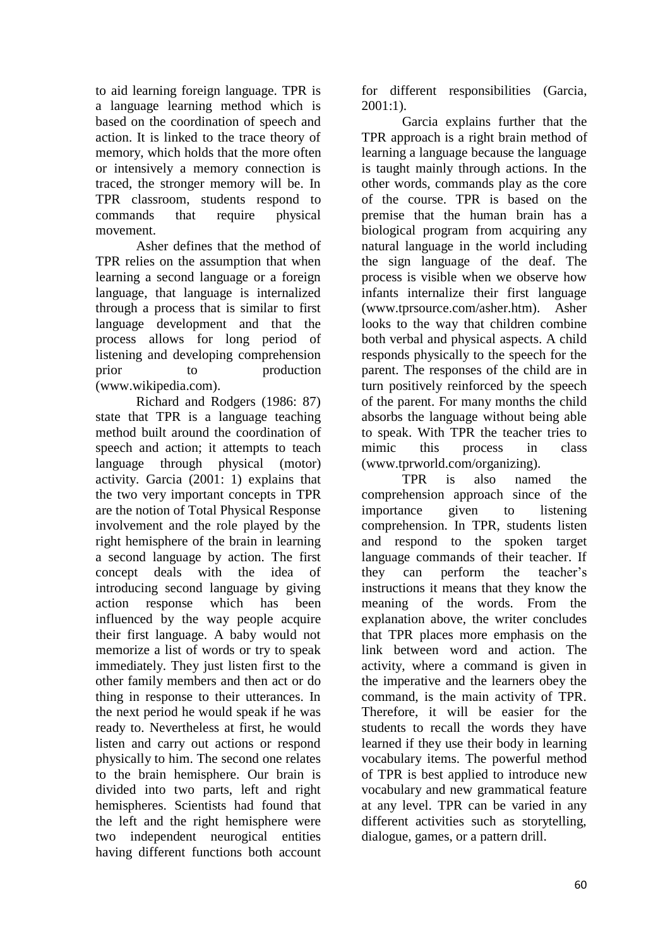to aid learning foreign language. TPR is a language learning method which is based on the coordination of speech and action. It is linked to the trace theory of memory, which holds that the more often or intensively a memory connection is traced, the stronger memory will be. In TPR classroom, students respond to commands that require physical movement.

Asher defines that the method of TPR relies on the assumption that when learning a second language or a foreign language, that language is internalized through a process that is similar to first language development and that the process allows for long period of listening and developing comprehension prior to production (www.wikipedia.com).

Richard and Rodgers (1986: 87) state that TPR is a language teaching method built around the coordination of speech and action; it attempts to teach language through physical (motor) activity. Garcia (2001: 1) explains that the two very important concepts in TPR are the notion of Total Physical Response involvement and the role played by the right hemisphere of the brain in learning a second language by action. The first concept deals with the idea of introducing second language by giving action response which has been influenced by the way people acquire their first language. A baby would not memorize a list of words or try to speak immediately. They just listen first to the other family members and then act or do thing in response to their utterances. In the next period he would speak if he was ready to. Nevertheless at first, he would listen and carry out actions or respond physically to him. The second one relates to the brain hemisphere. Our brain is divided into two parts, left and right hemispheres. Scientists had found that the left and the right hemisphere were two independent neurogical entities having different functions both account for different responsibilities (Garcia, 2001:1).

Garcia explains further that the TPR approach is a right brain method of learning a language because the language is taught mainly through actions. In the other words, commands play as the core of the course. TPR is based on the premise that the human brain has a biological program from acquiring any natural language in the world including the sign language of the deaf. The process is visible when we observe how infants internalize their first language (www.tprsource.com/asher.htm). Asher looks to the way that children combine both verbal and physical aspects. A child responds physically to the speech for the parent. The responses of the child are in turn positively reinforced by the speech of the parent. For many months the child absorbs the language without being able to speak. With TPR the teacher tries to mimic this process in class (www.tprworld.com/organizing).

TPR is also named the comprehension approach since of the importance given to listening comprehension. In TPR, students listen and respond to the spoken target language commands of their teacher. If they can perform the teacher's instructions it means that they know the meaning of the words. From the explanation above, the writer concludes that TPR places more emphasis on the link between word and action. The activity, where a command is given in the imperative and the learners obey the command, is the main activity of TPR. Therefore, it will be easier for the students to recall the words they have learned if they use their body in learning vocabulary items. The powerful method of TPR is best applied to introduce new vocabulary and new grammatical feature at any level. TPR can be varied in any different activities such as storytelling, dialogue, games, or a pattern drill.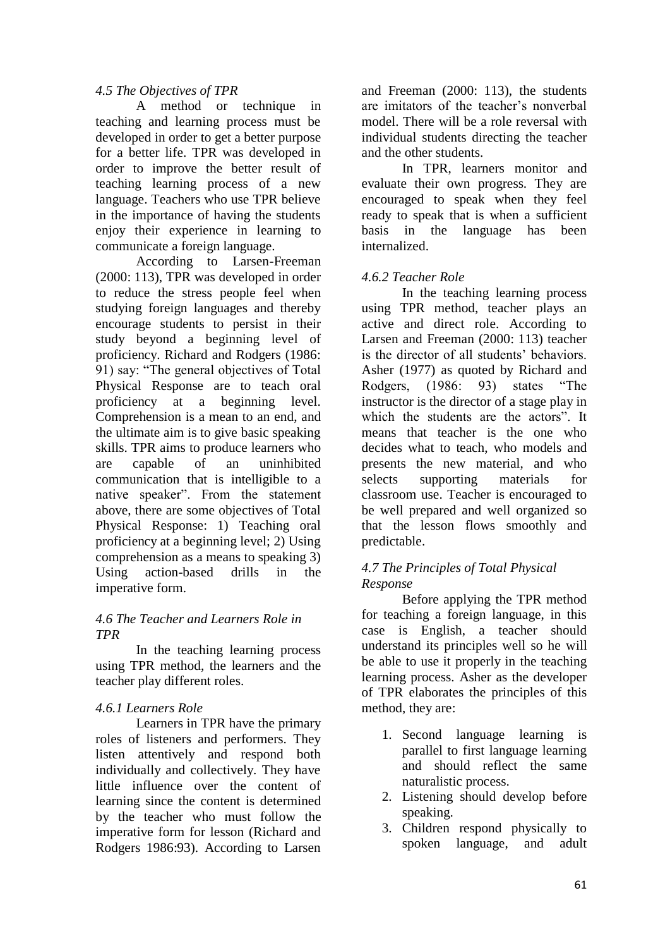## *4.5 The Objectives of TPR*

A method or technique in teaching and learning process must be developed in order to get a better purpose for a better life. TPR was developed in order to improve the better result of teaching learning process of a new language. Teachers who use TPR believe in the importance of having the students enjoy their experience in learning to communicate a foreign language.

According to Larsen-Freeman (2000: 113), TPR was developed in order to reduce the stress people feel when studying foreign languages and thereby encourage students to persist in their study beyond a beginning level of proficiency. Richard and Rodgers (1986: 91) say: "The general objectives of Total Physical Response are to teach oral proficiency at a beginning level. Comprehension is a mean to an end, and the ultimate aim is to give basic speaking skills. TPR aims to produce learners who are capable of an uninhibited communication that is intelligible to a native speaker". From the statement above, there are some objectives of Total Physical Response: 1) Teaching oral proficiency at a beginning level; 2) Using comprehension as a means to speaking 3) Using action-based drills in the imperative form.

#### *4.6 The Teacher and Learners Role in TPR*

In the teaching learning process using TPR method, the learners and the teacher play different roles.

### *4.6.1 Learners Role*

Learners in TPR have the primary roles of listeners and performers. They listen attentively and respond both individually and collectively. They have little influence over the content of learning since the content is determined by the teacher who must follow the imperative form for lesson (Richard and Rodgers 1986:93). According to Larsen and Freeman (2000: 113), the students are imitators of the teacher's nonverbal model. There will be a role reversal with individual students directing the teacher and the other students.

In TPR, learners monitor and evaluate their own progress. They are encouraged to speak when they feel ready to speak that is when a sufficient basis in the language has been internalized.

# *4.6.2 Teacher Role*

In the teaching learning process using TPR method, teacher plays an active and direct role. According to Larsen and Freeman (2000: 113) teacher is the director of all students' behaviors. Asher (1977) as quoted by Richard and Rodgers, (1986: 93) states "The instructor is the director of a stage play in which the students are the actors". It means that teacher is the one who decides what to teach, who models and presents the new material, and who selects supporting materials for classroom use. Teacher is encouraged to be well prepared and well organized so that the lesson flows smoothly and predictable.

## *4.7 The Principles of Total Physical Response*

Before applying the TPR method for teaching a foreign language, in this case is English, a teacher should understand its principles well so he will be able to use it properly in the teaching learning process. Asher as the developer of TPR elaborates the principles of this method, they are:

- 1. Second language learning is parallel to first language learning and should reflect the same naturalistic process.
- 2. Listening should develop before speaking.
- 3. Children respond physically to spoken language, and adult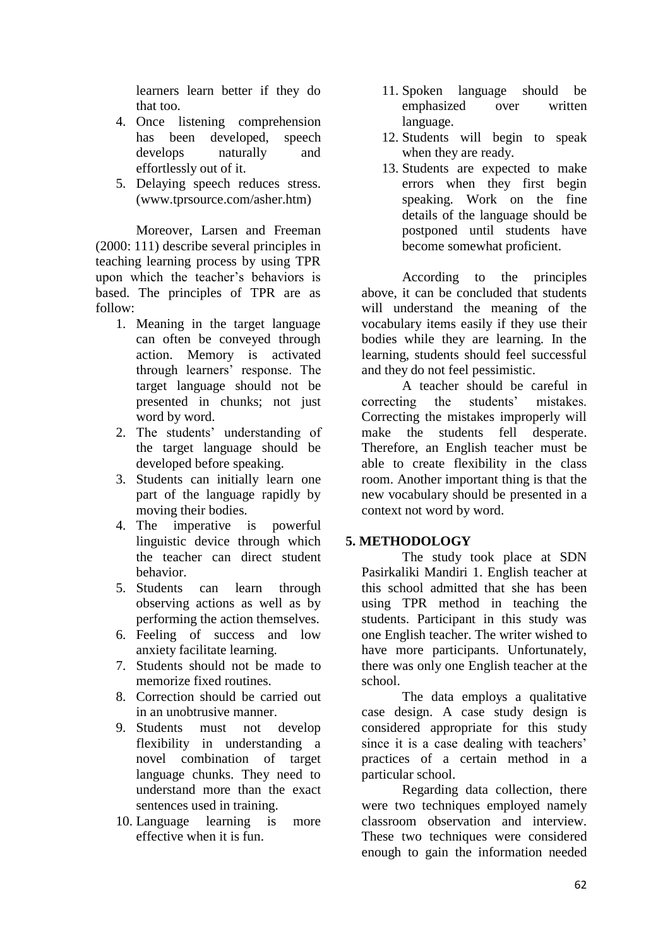learners learn better if they do that too.

- 4. Once listening comprehension has been developed, speech develops naturally and effortlessly out of it.
- 5. Delaying speech reduces stress. (www.tprsource.com/asher.htm)

Moreover, Larsen and Freeman (2000: 111) describe several principles in teaching learning process by using TPR upon which the teacher's behaviors is based. The principles of TPR are as follow:

- 1. Meaning in the target language can often be conveyed through action. Memory is activated through learners' response. The target language should not be presented in chunks; not just word by word.
- 2. The students' understanding of the target language should be developed before speaking.
- 3. Students can initially learn one part of the language rapidly by moving their bodies.
- 4. The imperative is powerful linguistic device through which the teacher can direct student behavior.
- 5. Students can learn through observing actions as well as by performing the action themselves.
- 6. Feeling of success and low anxiety facilitate learning.
- 7. Students should not be made to memorize fixed routines.
- 8. Correction should be carried out in an unobtrusive manner.
- 9. Students must not develop flexibility in understanding a novel combination of target language chunks. They need to understand more than the exact sentences used in training.
- 10. Language learning is more effective when it is fun.
- 11. Spoken language should be emphasized over written language.
- 12. Students will begin to speak when they are ready.
- 13. Students are expected to make errors when they first begin speaking. Work on the fine details of the language should be postponed until students have become somewhat proficient.

According to the principles above, it can be concluded that students will understand the meaning of the vocabulary items easily if they use their bodies while they are learning. In the learning, students should feel successful and they do not feel pessimistic.

A teacher should be careful in correcting the students' mistakes. Correcting the mistakes improperly will make the students fell desperate. Therefore, an English teacher must be able to create flexibility in the class room. Another important thing is that the new vocabulary should be presented in a context not word by word.

### **5. METHODOLOGY**

The study took place at SDN Pasirkaliki Mandiri 1. English teacher at this school admitted that she has been using TPR method in teaching the students. Participant in this study was one English teacher. The writer wished to have more participants. Unfortunately, there was only one English teacher at the school.

The data employs a qualitative case design. A case study design is considered appropriate for this study since it is a case dealing with teachers' practices of a certain method in a particular school.

Regarding data collection, there were two techniques employed namely classroom observation and interview. These two techniques were considered enough to gain the information needed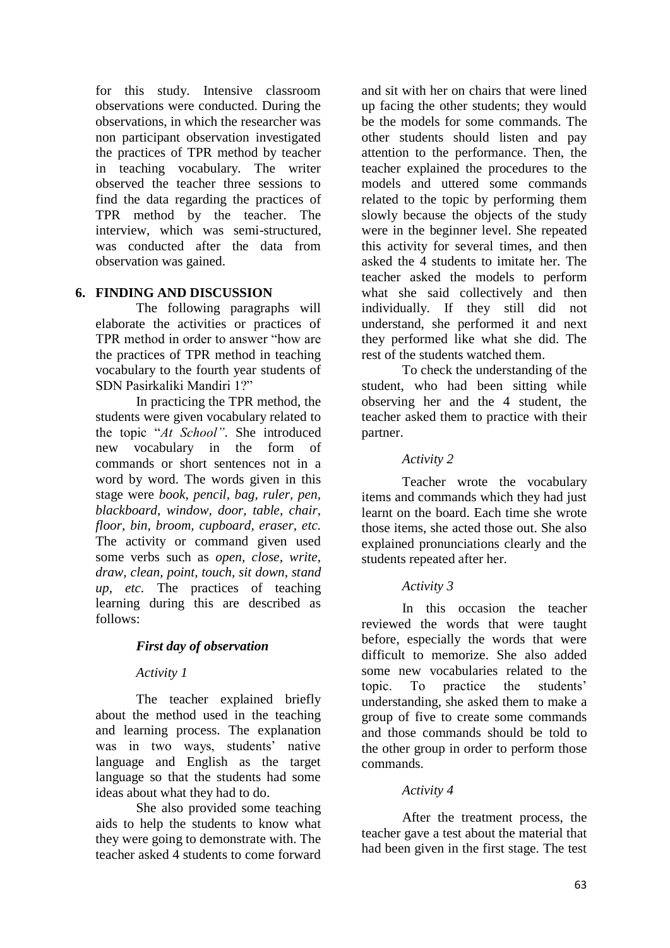for this study. Intensive classroom observations were conducted. During the observations, in which the researcher was non participant observation investigated the practices of TPR method by teacher in teaching vocabulary. The writer observed the teacher three sessions to find the data regarding the practices of TPR method by the teacher. The interview, which was semi-structured, was conducted after the data from observation was gained.

## **6. FINDING AND DISCUSSION**

The following paragraphs will elaborate the activities or practices of TPR method in order to answer "how are the practices of TPR method in teaching vocabulary to the fourth year students of SDN Pasirkaliki Mandiri 1?"

In practicing the TPR method, the students were given vocabulary related to the topic "*At School"*. She introduced new vocabulary in the form of commands or short sentences not in a word by word. The words given in this stage were *book, pencil, bag, ruler, pen, blackboard, window, door, table, chair, floor, bin, broom, cupboard, eraser, etc.* The activity or command given used some verbs such as *open, close, write, draw, clean, point, touch, sit down, stand up, etc.* The practices of teaching learning during this are described as follows:

### *First day of observation*

### *Activity 1*

The teacher explained briefly about the method used in the teaching and learning process. The explanation was in two ways, students' native language and English as the target language so that the students had some ideas about what they had to do.

She also provided some teaching aids to help the students to know what they were going to demonstrate with. The teacher asked 4 students to come forward

and sit with her on chairs that were lined up facing the other students; they would be the models for some commands. The other students should listen and pay attention to the performance. Then, the teacher explained the procedures to the models and uttered some commands related to the topic by performing them slowly because the objects of the study were in the beginner level. She repeated this activity for several times, and then asked the 4 students to imitate her. The teacher asked the models to perform what she said collectively and then individually. If they still did not understand, she performed it and next they performed like what she did. The rest of the students watched them.

To check the understanding of the student, who had been sitting while observing her and the 4 student, the teacher asked them to practice with their partner.

### *Activity 2*

Teacher wrote the vocabulary items and commands which they had just learnt on the board. Each time she wrote those items, she acted those out. She also explained pronunciations clearly and the students repeated after her.

### *Activity 3*

In this occasion the teacher reviewed the words that were taught before, especially the words that were difficult to memorize. She also added some new vocabularies related to the topic. To practice the students' understanding, she asked them to make a group of five to create some commands and those commands should be told to the other group in order to perform those commands.

#### *Activity 4*

After the treatment process, the teacher gave a test about the material that had been given in the first stage. The test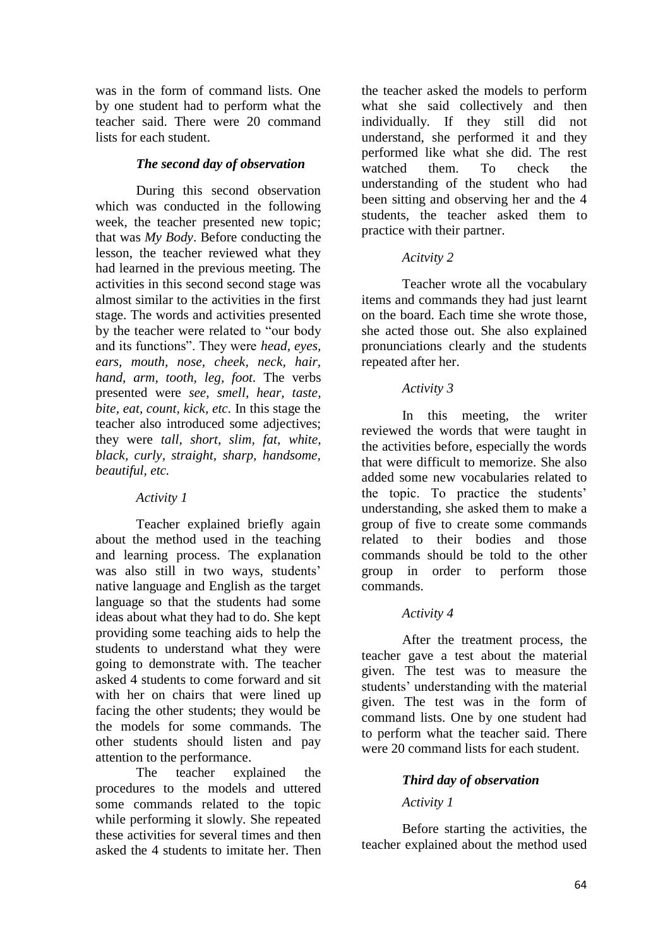was in the form of command lists. One by one student had to perform what the teacher said. There were 20 command lists for each student.

#### *The second day of observation*

During this second observation which was conducted in the following week, the teacher presented new topic; that was *My Body*. Before conducting the lesson, the teacher reviewed what they had learned in the previous meeting. The activities in this second second stage was almost similar to the activities in the first stage. The words and activities presented by the teacher were related to "our body and its functions". They were *head, eyes, ears, mouth, nose, cheek, neck, hair, hand, arm, tooth, leg, foot.* The verbs presented were *see, smell, hear, taste, bite, eat, count, kick, etc.* In this stage the teacher also introduced some adjectives; they were *tall, short, slim, fat, white, black, curly, straight, sharp, handsome, beautiful, etc.*

### *Activity 1*

Teacher explained briefly again about the method used in the teaching and learning process. The explanation was also still in two ways, students' native language and English as the target language so that the students had some ideas about what they had to do. She kept providing some teaching aids to help the students to understand what they were going to demonstrate with. The teacher asked 4 students to come forward and sit with her on chairs that were lined up facing the other students; they would be the models for some commands. The other students should listen and pay attention to the performance.

The teacher explained the procedures to the models and uttered some commands related to the topic while performing it slowly. She repeated these activities for several times and then asked the 4 students to imitate her. Then

the teacher asked the models to perform what she said collectively and then individually. If they still did not understand, she performed it and they performed like what she did. The rest watched them. To check the understanding of the student who had been sitting and observing her and the 4 students, the teacher asked them to practice with their partner.

### *Acitvity 2*

Teacher wrote all the vocabulary items and commands they had just learnt on the board. Each time she wrote those, she acted those out. She also explained pronunciations clearly and the students repeated after her.

#### *Activity 3*

In this meeting, the writer reviewed the words that were taught in the activities before, especially the words that were difficult to memorize. She also added some new vocabularies related to the topic. To practice the students' understanding, she asked them to make a group of five to create some commands related to their bodies and those commands should be told to the other group in order to perform those commands.

### *Activity 4*

After the treatment process, the teacher gave a test about the material given. The test was to measure the students' understanding with the material given. The test was in the form of command lists. One by one student had to perform what the teacher said. There were 20 command lists for each student.

### *Third day of observation*

### *Activity 1*

Before starting the activities, the teacher explained about the method used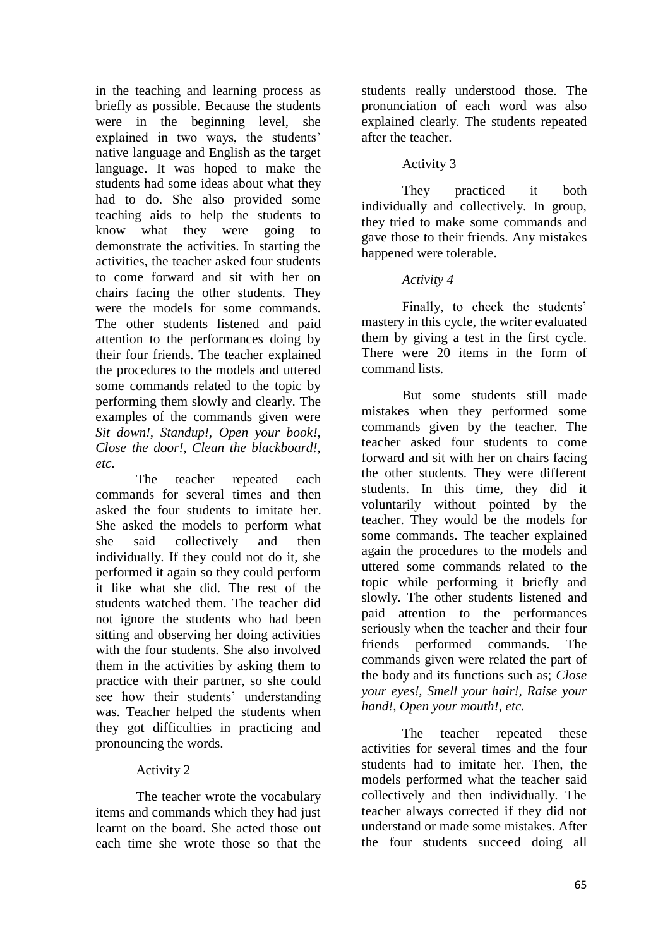in the teaching and learning process as briefly as possible. Because the students were in the beginning level, she explained in two ways, the students' native language and English as the target language. It was hoped to make the students had some ideas about what they had to do. She also provided some teaching aids to help the students to know what they were going to demonstrate the activities. In starting the activities, the teacher asked four students to come forward and sit with her on chairs facing the other students. They were the models for some commands. The other students listened and paid attention to the performances doing by their four friends. The teacher explained the procedures to the models and uttered some commands related to the topic by performing them slowly and clearly. The examples of the commands given were *Sit down!, Standup!, Open your book!, Close the door!, Clean the blackboard!, etc.*

The teacher repeated each commands for several times and then asked the four students to imitate her. She asked the models to perform what she said collectively and then individually. If they could not do it, she performed it again so they could perform it like what she did. The rest of the students watched them. The teacher did not ignore the students who had been sitting and observing her doing activities with the four students. She also involved them in the activities by asking them to practice with their partner, so she could see how their students' understanding was. Teacher helped the students when they got difficulties in practicing and pronouncing the words.

# Activity 2

The teacher wrote the vocabulary items and commands which they had just learnt on the board. She acted those out each time she wrote those so that the students really understood those. The pronunciation of each word was also explained clearly. The students repeated after the teacher.

# Activity 3

They practiced it both individually and collectively. In group, they tried to make some commands and gave those to their friends. Any mistakes happened were tolerable.

# *Activity 4*

Finally, to check the students' mastery in this cycle, the writer evaluated them by giving a test in the first cycle. There were 20 items in the form of command lists.

But some students still made mistakes when they performed some commands given by the teacher. The teacher asked four students to come forward and sit with her on chairs facing the other students. They were different students. In this time, they did it voluntarily without pointed by the teacher. They would be the models for some commands. The teacher explained again the procedures to the models and uttered some commands related to the topic while performing it briefly and slowly. The other students listened and paid attention to the performances seriously when the teacher and their four friends performed commands. The commands given were related the part of the body and its functions such as; *Close your eyes!, Smell your hair!, Raise your hand!, Open your mouth!, etc.*

The teacher repeated these activities for several times and the four students had to imitate her. Then, the models performed what the teacher said collectively and then individually. The teacher always corrected if they did not understand or made some mistakes. After the four students succeed doing all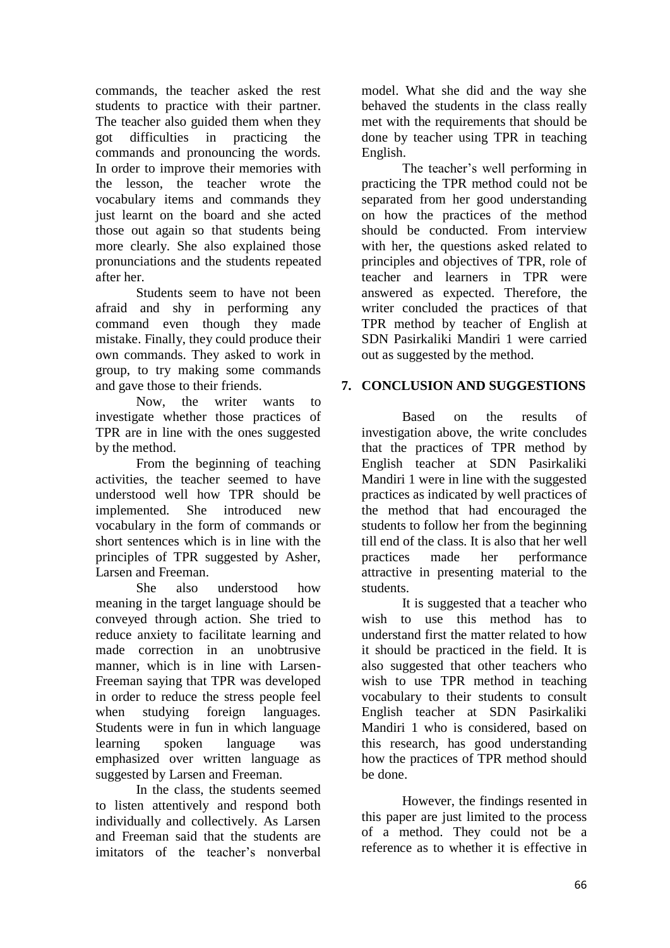commands, the teacher asked the rest students to practice with their partner. The teacher also guided them when they got difficulties in practicing the commands and pronouncing the words. In order to improve their memories with the lesson, the teacher wrote the vocabulary items and commands they just learnt on the board and she acted those out again so that students being more clearly. She also explained those pronunciations and the students repeated after her.

Students seem to have not been afraid and shy in performing any command even though they made mistake. Finally, they could produce their own commands. They asked to work in group, to try making some commands and gave those to their friends.

Now, the writer wants to investigate whether those practices of TPR are in line with the ones suggested by the method.

From the beginning of teaching activities, the teacher seemed to have understood well how TPR should be implemented. She introduced new vocabulary in the form of commands or short sentences which is in line with the principles of TPR suggested by Asher, Larsen and Freeman.

She also understood how meaning in the target language should be conveyed through action. She tried to reduce anxiety to facilitate learning and made correction in an unobtrusive manner, which is in line with Larsen-Freeman saying that TPR was developed in order to reduce the stress people feel when studying foreign languages. Students were in fun in which language learning spoken language was emphasized over written language as suggested by Larsen and Freeman.

In the class, the students seemed to listen attentively and respond both individually and collectively. As Larsen and Freeman said that the students are imitators of the teacher's nonverbal

model. What she did and the way she behaved the students in the class really met with the requirements that should be done by teacher using TPR in teaching English.

The teacher's well performing in practicing the TPR method could not be separated from her good understanding on how the practices of the method should be conducted. From interview with her, the questions asked related to principles and objectives of TPR, role of teacher and learners in TPR were answered as expected. Therefore, the writer concluded the practices of that TPR method by teacher of English at SDN Pasirkaliki Mandiri 1 were carried out as suggested by the method.

# **7. CONCLUSION AND SUGGESTIONS**

Based on the results of investigation above, the write concludes that the practices of TPR method by English teacher at SDN Pasirkaliki Mandiri 1 were in line with the suggested practices as indicated by well practices of the method that had encouraged the students to follow her from the beginning till end of the class. It is also that her well practices made her performance attractive in presenting material to the students.

It is suggested that a teacher who wish to use this method has to understand first the matter related to how it should be practiced in the field. It is also suggested that other teachers who wish to use TPR method in teaching vocabulary to their students to consult English teacher at SDN Pasirkaliki Mandiri 1 who is considered, based on this research, has good understanding how the practices of TPR method should be done.

However, the findings resented in this paper are just limited to the process of a method. They could not be a reference as to whether it is effective in